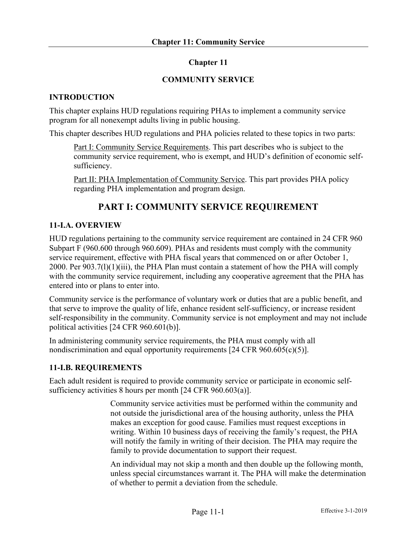# **Chapter 11**

### **COMMUNITY SERVICE**

### **INTRODUCTION**

This chapter explains HUD regulations requiring PHAs to implement a community service program for all nonexempt adults living in public housing.

This chapter describes HUD regulations and PHA policies related to these topics in two parts:

Part I: Community Service Requirements. This part describes who is subject to the community service requirement, who is exempt, and HUD's definition of economic selfsufficiency.

Part II: PHA Implementation of Community Service. This part provides PHA policy regarding PHA implementation and program design.

# **PART I: COMMUNITY SERVICE REQUIREMENT**

# **11-I.A. OVERVIEW**

HUD regulations pertaining to the community service requirement are contained in 24 CFR 960 Subpart F (960.600 through 960.609). PHAs and residents must comply with the community service requirement, effective with PHA fiscal years that commenced on or after October 1, 2000. Per 903.7(l)(1)(iii), the PHA Plan must contain a statement of how the PHA will comply with the community service requirement, including any cooperative agreement that the PHA has entered into or plans to enter into.

Community service is the performance of voluntary work or duties that are a public benefit, and that serve to improve the quality of life, enhance resident self-sufficiency, or increase resident self-responsibility in the community. Community service is not employment and may not include political activities [24 CFR 960.601(b)].

In administering community service requirements, the PHA must comply with all nondiscrimination and equal opportunity requirements [24 CFR 960.605(c)(5)].

# **11-I.B. REQUIREMENTS**

Each adult resident is required to provide community service or participate in economic selfsufficiency activities 8 hours per month [24 CFR 960.603(a)].

> Community service activities must be performed within the community and not outside the jurisdictional area of the housing authority, unless the PHA makes an exception for good cause. Families must request exceptions in writing. Within 10 business days of receiving the family's request, the PHA will notify the family in writing of their decision. The PHA may require the family to provide documentation to support their request.

An individual may not skip a month and then double up the following month, unless special circumstances warrant it. The PHA will make the determination of whether to permit a deviation from the schedule.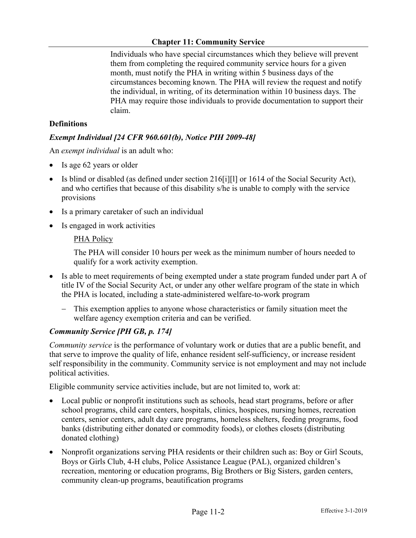# **Chapter 11: Community Service**

Individuals who have special circumstances which they believe will prevent them from completing the required community service hours for a given month, must notify the PHA in writing within 5 business days of the circumstances becoming known. The PHA will review the request and notify the individual, in writing, of its determination within 10 business days. The PHA may require those individuals to provide documentation to support their claim.

# **Definitions**

# *Exempt Individual [24 CFR 960.601(b), Notice PIH 2009-48]*

An *exempt individual* is an adult who:

- Is age 62 years or older
- Is blind or disabled (as defined under section 216[i][l] or 1614 of the Social Security Act), and who certifies that because of this disability s/he is unable to comply with the service provisions
- Is a primary caretaker of such an individual
- Is engaged in work activities

### PHA Policy

The PHA will consider 10 hours per week as the minimum number of hours needed to qualify for a work activity exemption.

- Is able to meet requirements of being exempted under a state program funded under part A of title IV of the Social Security Act, or under any other welfare program of the state in which the PHA is located, including a state-administered welfare-to-work program
	- This exemption applies to anyone whose characteristics or family situation meet the welfare agency exemption criteria and can be verified.

### *Community Service [PH GB, p. 174]*

*Community service* is the performance of voluntary work or duties that are a public benefit, and that serve to improve the quality of life, enhance resident self-sufficiency, or increase resident self responsibility in the community. Community service is not employment and may not include political activities.

Eligible community service activities include, but are not limited to, work at:

- Local public or nonprofit institutions such as schools, head start programs, before or after school programs, child care centers, hospitals, clinics, hospices, nursing homes, recreation centers, senior centers, adult day care programs, homeless shelters, feeding programs, food banks (distributing either donated or commodity foods), or clothes closets (distributing donated clothing)
- Nonprofit organizations serving PHA residents or their children such as: Boy or Girl Scouts, Boys or Girls Club, 4-H clubs, Police Assistance League (PAL), organized children's recreation, mentoring or education programs, Big Brothers or Big Sisters, garden centers, community clean-up programs, beautification programs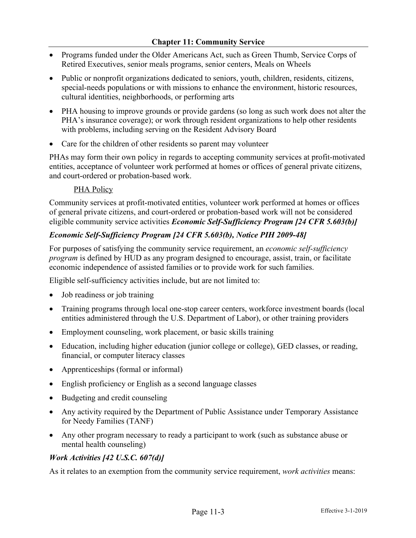- Programs funded under the Older Americans Act, such as Green Thumb, Service Corps of Retired Executives, senior meals programs, senior centers, Meals on Wheels
- Public or nonprofit organizations dedicated to seniors, youth, children, residents, citizens, special-needs populations or with missions to enhance the environment, historic resources, cultural identities, neighborhoods, or performing arts
- PHA housing to improve grounds or provide gardens (so long as such work does not alter the PHA's insurance coverage); or work through resident organizations to help other residents with problems, including serving on the Resident Advisory Board
- Care for the children of other residents so parent may volunteer

PHAs may form their own policy in regards to accepting community services at profit-motivated entities, acceptance of volunteer work performed at homes or offices of general private citizens, and court-ordered or probation-based work.

### PHA Policy

Community services at profit-motivated entities, volunteer work performed at homes or offices of general private citizens, and court-ordered or probation-based work will not be considered eligible community service activities *Economic Self-Sufficiency Program [24 CFR 5.603(b)]*

# *Economic Self-Sufficiency Program [24 CFR 5.603(b), Notice PIH 2009-48]*

For purposes of satisfying the community service requirement, an *economic self-sufficiency program* is defined by HUD as any program designed to encourage, assist, train, or facilitate economic independence of assisted families or to provide work for such families.

Eligible self-sufficiency activities include, but are not limited to:

- Job readiness or job training
- Training programs through local one-stop career centers, workforce investment boards (local entities administered through the U.S. Department of Labor), or other training providers
- Employment counseling, work placement, or basic skills training
- Education, including higher education (junior college or college), GED classes, or reading, financial, or computer literacy classes
- Apprenticeships (formal or informal)
- English proficiency or English as a second language classes
- Budgeting and credit counseling
- Any activity required by the Department of Public Assistance under Temporary Assistance for Needy Families (TANF)
- Any other program necessary to ready a participant to work (such as substance abuse or mental health counseling)

### *Work Activities [42 U.S.C. 607(d)]*

As it relates to an exemption from the community service requirement, *work activities* means: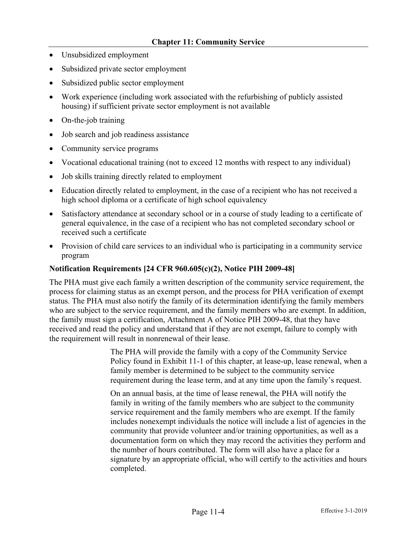- Unsubsidized employment
- Subsidized private sector employment
- Subsidized public sector employment
- Work experience (including work associated with the refurbishing of publicly assisted housing) if sufficient private sector employment is not available
- On-the-job training
- Job search and job readiness assistance
- Community service programs
- Vocational educational training (not to exceed 12 months with respect to any individual)
- Job skills training directly related to employment
- Education directly related to employment, in the case of a recipient who has not received a high school diploma or a certificate of high school equivalency
- Satisfactory attendance at secondary school or in a course of study leading to a certificate of general equivalence, in the case of a recipient who has not completed secondary school or received such a certificate
- Provision of child care services to an individual who is participating in a community service program

### **Notification Requirements [24 CFR 960.605(c)(2), Notice PIH 2009-48]**

The PHA must give each family a written description of the community service requirement, the process for claiming status as an exempt person, and the process for PHA verification of exempt status. The PHA must also notify the family of its determination identifying the family members who are subject to the service requirement, and the family members who are exempt. In addition, the family must sign a certification, Attachment A of Notice PIH 2009-48, that they have received and read the policy and understand that if they are not exempt, failure to comply with the requirement will result in nonrenewal of their lease.

> The PHA will provide the family with a copy of the Community Service Policy found in Exhibit 11-1 of this chapter, at lease-up, lease renewal, when a family member is determined to be subject to the community service requirement during the lease term, and at any time upon the family's request.

> On an annual basis, at the time of lease renewal, the PHA will notify the family in writing of the family members who are subject to the community service requirement and the family members who are exempt. If the family includes nonexempt individuals the notice will include a list of agencies in the community that provide volunteer and/or training opportunities, as well as a documentation form on which they may record the activities they perform and the number of hours contributed. The form will also have a place for a signature by an appropriate official, who will certify to the activities and hours completed.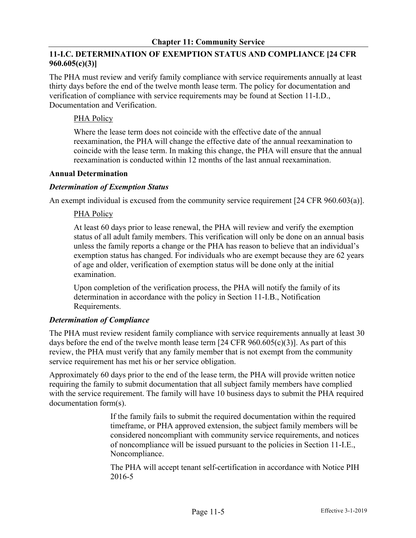# **11-I.C. DETERMINATION OF EXEMPTION STATUS AND COMPLIANCE [24 CFR 960.605(c)(3)]**

The PHA must review and verify family compliance with service requirements annually at least thirty days before the end of the twelve month lease term. The policy for documentation and verification of compliance with service requirements may be found at Section 11-I.D., Documentation and Verification.

# PHA Policy

Where the lease term does not coincide with the effective date of the annual reexamination, the PHA will change the effective date of the annual reexamination to coincide with the lease term. In making this change, the PHA will ensure that the annual reexamination is conducted within 12 months of the last annual reexamination.

# **Annual Determination**

# *Determination of Exemption Status*

An exempt individual is excused from the community service requirement [24 CFR 960.603(a)].

# PHA Policy

At least 60 days prior to lease renewal, the PHA will review and verify the exemption status of all adult family members. This verification will only be done on an annual basis unless the family reports a change or the PHA has reason to believe that an individual's exemption status has changed. For individuals who are exempt because they are 62 years of age and older, verification of exemption status will be done only at the initial examination.

Upon completion of the verification process, the PHA will notify the family of its determination in accordance with the policy in Section 11-I.B., Notification Requirements.

# *Determination of Compliance*

The PHA must review resident family compliance with service requirements annually at least 30 days before the end of the twelve month lease term  $[24 \text{ CFR } 960.605(c)(3)]$ . As part of this review, the PHA must verify that any family member that is not exempt from the community service requirement has met his or her service obligation.

Approximately 60 days prior to the end of the lease term, the PHA will provide written notice requiring the family to submit documentation that all subject family members have complied with the service requirement. The family will have 10 business days to submit the PHA required documentation form(s).

> If the family fails to submit the required documentation within the required timeframe, or PHA approved extension, the subject family members will be considered noncompliant with community service requirements, and notices of noncompliance will be issued pursuant to the policies in Section 11-I.E., Noncompliance.

> The PHA will accept tenant self-certification in accordance with Notice PIH 2016-5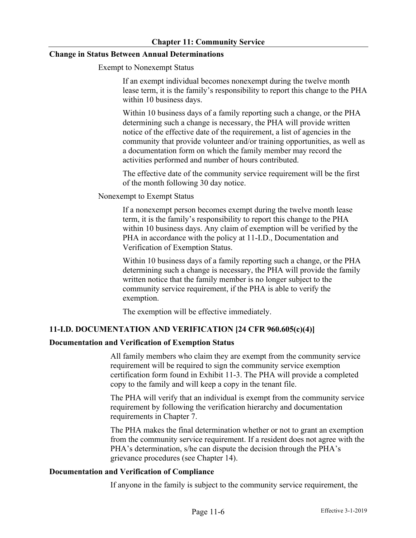### **Change in Status Between Annual Determinations**

Exempt to Nonexempt Status

If an exempt individual becomes nonexempt during the twelve month lease term, it is the family's responsibility to report this change to the PHA within 10 business days.

Within 10 business days of a family reporting such a change, or the PHA determining such a change is necessary, the PHA will provide written notice of the effective date of the requirement, a list of agencies in the community that provide volunteer and/or training opportunities, as well as a documentation form on which the family member may record the activities performed and number of hours contributed.

The effective date of the community service requirement will be the first of the month following 30 day notice.

Nonexempt to Exempt Status

If a nonexempt person becomes exempt during the twelve month lease term, it is the family's responsibility to report this change to the PHA within 10 business days. Any claim of exemption will be verified by the PHA in accordance with the policy at 11-I.D., Documentation and Verification of Exemption Status.

Within 10 business days of a family reporting such a change, or the PHA determining such a change is necessary, the PHA will provide the family written notice that the family member is no longer subject to the community service requirement, if the PHA is able to verify the exemption.

The exemption will be effective immediately.

### **11-I.D. DOCUMENTATION AND VERIFICATION [24 CFR 960.605(c)(4)]**

### **Documentation and Verification of Exemption Status**

All family members who claim they are exempt from the community service requirement will be required to sign the community service exemption certification form found in Exhibit 11-3. The PHA will provide a completed copy to the family and will keep a copy in the tenant file.

The PHA will verify that an individual is exempt from the community service requirement by following the verification hierarchy and documentation requirements in Chapter 7.

The PHA makes the final determination whether or not to grant an exemption from the community service requirement. If a resident does not agree with the PHA's determination, s/he can dispute the decision through the PHA's grievance procedures (see Chapter 14).

#### **Documentation and Verification of Compliance**

If anyone in the family is subject to the community service requirement, the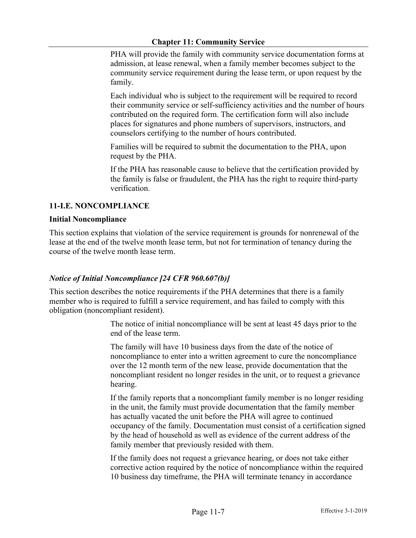### **Chapter 11: Community Service**

PHA will provide the family with community service documentation forms at admission, at lease renewal, when a family member becomes subject to the community service requirement during the lease term, or upon request by the family.

Each individual who is subject to the requirement will be required to record their community service or self-sufficiency activities and the number of hours contributed on the required form. The certification form will also include places for signatures and phone numbers of supervisors, instructors, and counselors certifying to the number of hours contributed.

Families will be required to submit the documentation to the PHA, upon request by the PHA.

If the PHA has reasonable cause to believe that the certification provided by the family is false or fraudulent, the PHA has the right to require third-party verification.

# **11-I.E. NONCOMPLIANCE**

### **Initial Noncompliance**

This section explains that violation of the service requirement is grounds for nonrenewal of the lease at the end of the twelve month lease term, but not for termination of tenancy during the course of the twelve month lease term.

# *Notice of Initial Noncompliance [24 CFR 960.607(b)]*

This section describes the notice requirements if the PHA determines that there is a family member who is required to fulfill a service requirement, and has failed to comply with this obligation (noncompliant resident).

> The notice of initial noncompliance will be sent at least 45 days prior to the end of the lease term.

The family will have 10 business days from the date of the notice of noncompliance to enter into a written agreement to cure the noncompliance over the 12 month term of the new lease, provide documentation that the noncompliant resident no longer resides in the unit, or to request a grievance hearing.

If the family reports that a noncompliant family member is no longer residing in the unit, the family must provide documentation that the family member has actually vacated the unit before the PHA will agree to continued occupancy of the family. Documentation must consist of a certification signed by the head of household as well as evidence of the current address of the family member that previously resided with them.

If the family does not request a grievance hearing, or does not take either corrective action required by the notice of noncompliance within the required 10 business day timeframe, the PHA will terminate tenancy in accordance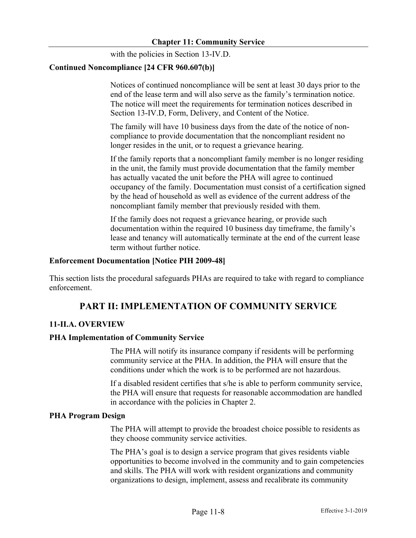with the policies in Section 13-IV.D.

### **Continued Noncompliance [24 CFR 960.607(b)]**

Notices of continued noncompliance will be sent at least 30 days prior to the end of the lease term and will also serve as the family's termination notice. The notice will meet the requirements for termination notices described in Section 13-IV.D, Form, Delivery, and Content of the Notice.

The family will have 10 business days from the date of the notice of noncompliance to provide documentation that the noncompliant resident no longer resides in the unit, or to request a grievance hearing.

If the family reports that a noncompliant family member is no longer residing in the unit, the family must provide documentation that the family member has actually vacated the unit before the PHA will agree to continued occupancy of the family. Documentation must consist of a certification signed by the head of household as well as evidence of the current address of the noncompliant family member that previously resided with them.

If the family does not request a grievance hearing, or provide such documentation within the required 10 business day timeframe, the family's lease and tenancy will automatically terminate at the end of the current lease term without further notice.

### **Enforcement Documentation [Notice PIH 2009-48]**

This section lists the procedural safeguards PHAs are required to take with regard to compliance enforcement.

# **PART II: IMPLEMENTATION OF COMMUNITY SERVICE**

### **11-II.A. OVERVIEW**

### **PHA Implementation of Community Service**

The PHA will notify its insurance company if residents will be performing community service at the PHA. In addition, the PHA will ensure that the conditions under which the work is to be performed are not hazardous.

If a disabled resident certifies that s/he is able to perform community service, the PHA will ensure that requests for reasonable accommodation are handled in accordance with the policies in Chapter 2.

#### **PHA Program Design**

The PHA will attempt to provide the broadest choice possible to residents as they choose community service activities.

The PHA's goal is to design a service program that gives residents viable opportunities to become involved in the community and to gain competencies and skills. The PHA will work with resident organizations and community organizations to design, implement, assess and recalibrate its community